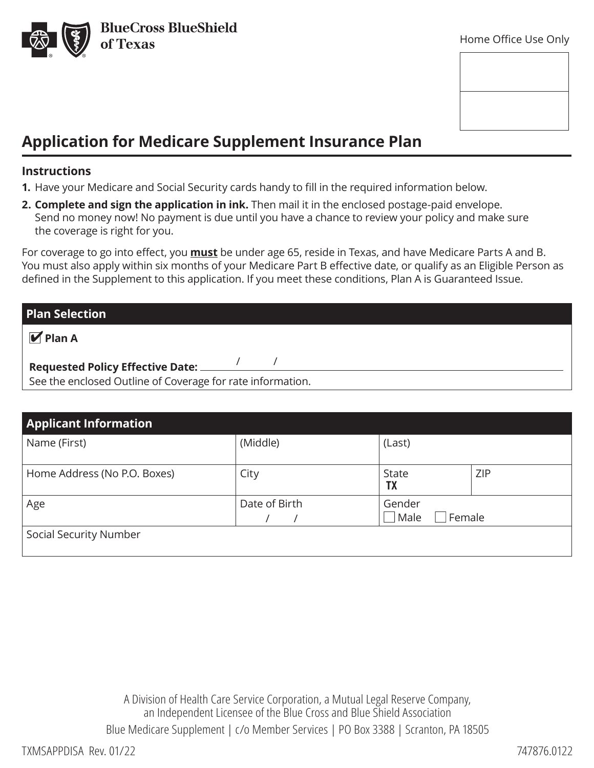

# **Application for Medicare Supplement Insurance Plan**

#### **Instructions**

**1.** Have your Medicare and Social Security cards handy to fill in the required information below.

**2. Complete and sign the application in ink.** Then mail it in the enclosed postage-paid envelope. Send no money now! No payment is due until you have a chance to review your policy and make sure the coverage is right for you.

For coverage to go into effect, you **must** be under age 65, reside in Texas, and have Medicare Parts A and B. You must also apply within six months of your Medicare Part B effective date, or qualify as an Eligible Person as defined in the Supplement to this application. If you meet these conditions, Plan A is Guaranteed Issue.

| <b>Plan Selection</b>                                      |  |  |  |  |  |  |  |
|------------------------------------------------------------|--|--|--|--|--|--|--|
| $\sqrt{\mathsf{M}}$ Plan A                                 |  |  |  |  |  |  |  |
| <b>Requested Policy Effective Date:</b>                    |  |  |  |  |  |  |  |
| See the enclosed Outline of Coverage for rate information. |  |  |  |  |  |  |  |

| <b>Applicant Information</b> |               |                          |            |  |  |  |
|------------------------------|---------------|--------------------------|------------|--|--|--|
| Name (First)                 | (Middle)      | (Last)                   |            |  |  |  |
| Home Address (No P.O. Boxes) | City          | State<br><b>TX</b>       | <b>ZIP</b> |  |  |  |
| Age                          | Date of Birth | Gender<br>Male<br>Female |            |  |  |  |
| Social Security Number       |               |                          |            |  |  |  |

A Division of Health Care Service Corporation, a Mutual Legal Reserve Company, an Independent Licensee of the Blue Cross and Blue Shield Association Blue Medicare Supplement | c/o Member Services | PO Box 3388 | Scranton, PA 18505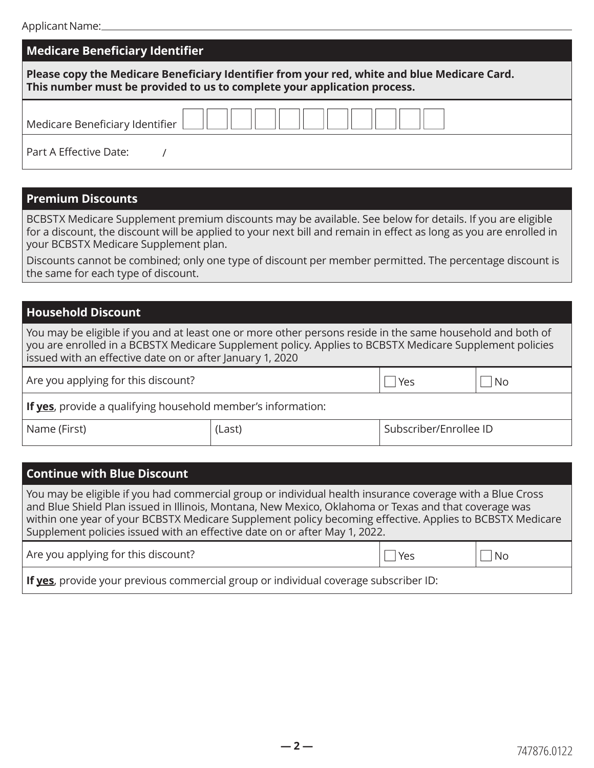## **Medicare Beneficiary Identifier**

| Please copy the Medicare Beneficiary Identifier from your red, white and blue Medicare Card. |  |
|----------------------------------------------------------------------------------------------|--|
| This number must be provided to us to complete your application process.                     |  |

| <b>Medicare Beneficiary Identifier</b> |  |  |  |  |  |  |  |  |
|----------------------------------------|--|--|--|--|--|--|--|--|
|                                        |  |  |  |  |  |  |  |  |

Part A Effective Date:

#### **Premium Discounts**

BCBSTX Medicare Supplement premium discounts may be available. See below for details. If you are eligible for a discount, the discount will be applied to your next bill and remain in effect as long as you are enrolled in your BCBSTX Medicare Supplement plan.

Discounts cannot be combined; only one type of discount per member permitted. The percentage discount is the same for each type of discount.

### **Household Discount**

You may be eligible if you and at least one or more other persons reside in the same household and both of you are enrolled in a BCBSTX Medicare Supplement policy. Applies to BCBSTX Medicare Supplement policies issued with an effective date on or after January 1, 2020

Are you applying for this discount?  $\Box$  Yes  $\Box$  No

**If yes**, provide a qualifying household member's information:

/

Name (First)  $|(Last)$ 

## **Continue with Blue Discount**

You may be eligible if you had commercial group or individual health insurance coverage with a Blue Cross and Blue Shield Plan issued in Illinois, Montana, New Mexico, Oklahoma or Texas and that coverage was within one year of your BCBSTX Medicare Supplement policy becoming effective. Applies to BCBSTX Medicare Supplement policies issued with an effective date on or after May 1, 2022.

Are you applying for this discount?  $\Box$  Yes  $\Box$  No

**If yes**, provide your previous commercial group or individual coverage subscriber ID: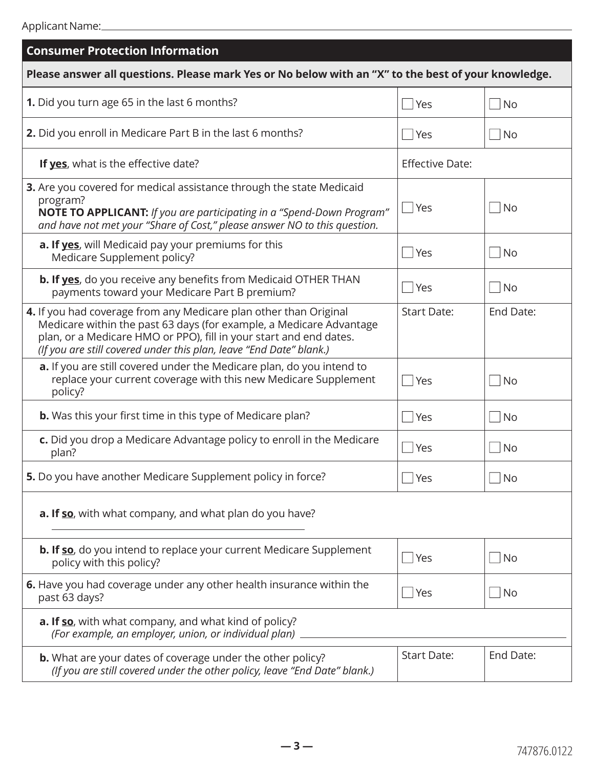| <b>Consumer Protection Information</b>                                                                                                                                                                                                                                                |                        |                            |  |  |  |  |
|---------------------------------------------------------------------------------------------------------------------------------------------------------------------------------------------------------------------------------------------------------------------------------------|------------------------|----------------------------|--|--|--|--|
| Please answer all questions. Please mark Yes or No below with an "X" to the best of your knowledge.                                                                                                                                                                                   |                        |                            |  |  |  |  |
| 1. Did you turn age 65 in the last 6 months?                                                                                                                                                                                                                                          | Yes                    | <b>No</b>                  |  |  |  |  |
| 2. Did you enroll in Medicare Part B in the last 6 months?                                                                                                                                                                                                                            | Yes                    | No<br>$\mathcal{L}$        |  |  |  |  |
| If yes, what is the effective date?                                                                                                                                                                                                                                                   | <b>Effective Date:</b> |                            |  |  |  |  |
| 3. Are you covered for medical assistance through the state Medicaid<br>program?<br>NOTE TO APPLICANT: If you are participating in a "Spend-Down Program"<br>and have not met your "Share of Cost," please answer NO to this question.                                                | Yes                    | <b>No</b>                  |  |  |  |  |
| a. If yes, will Medicaid pay your premiums for this<br>Medicare Supplement policy?                                                                                                                                                                                                    | Yes                    | <b>No</b><br>$\mathcal{L}$ |  |  |  |  |
| <b>b. If yes</b> , do you receive any benefits from Medicaid OTHER THAN<br>payments toward your Medicare Part B premium?                                                                                                                                                              | Yes                    | <b>No</b><br>$\mathcal{L}$ |  |  |  |  |
| 4. If you had coverage from any Medicare plan other than Original<br>Medicare within the past 63 days (for example, a Medicare Advantage<br>plan, or a Medicare HMO or PPO), fill in your start and end dates.<br>(If you are still covered under this plan, leave "End Date" blank.) | <b>Start Date:</b>     | End Date:                  |  |  |  |  |
| a. If you are still covered under the Medicare plan, do you intend to<br>replace your current coverage with this new Medicare Supplement<br>policy?                                                                                                                                   | Yes                    | <b>No</b>                  |  |  |  |  |
| <b>b.</b> Was this your first time in this type of Medicare plan?                                                                                                                                                                                                                     | Yes                    | <b>No</b>                  |  |  |  |  |
| c. Did you drop a Medicare Advantage policy to enroll in the Medicare<br>plan?                                                                                                                                                                                                        | Yes                    | No<br>$\mathcal{L}$        |  |  |  |  |
| 5. Do you have another Medicare Supplement policy in force?                                                                                                                                                                                                                           | Yes                    | $\bigsqcup$ No             |  |  |  |  |
| a. If so, with what company, and what plan do you have?                                                                                                                                                                                                                               |                        |                            |  |  |  |  |
| <b>b. If so</b> , do you intend to replace your current Medicare Supplement<br>policy with this policy?                                                                                                                                                                               | Yes                    | $ $ No                     |  |  |  |  |
| 6. Have you had coverage under any other health insurance within the<br>past 63 days?                                                                                                                                                                                                 | Yes                    | No                         |  |  |  |  |
| a. If so, with what company, and what kind of policy?<br>(For example, an employer, union, or individual plan) _____________________                                                                                                                                                  |                        |                            |  |  |  |  |
| <b>b.</b> What are your dates of coverage under the other policy?<br>(If you are still covered under the other policy, leave "End Date" blank.)                                                                                                                                       | <b>Start Date:</b>     | End Date:                  |  |  |  |  |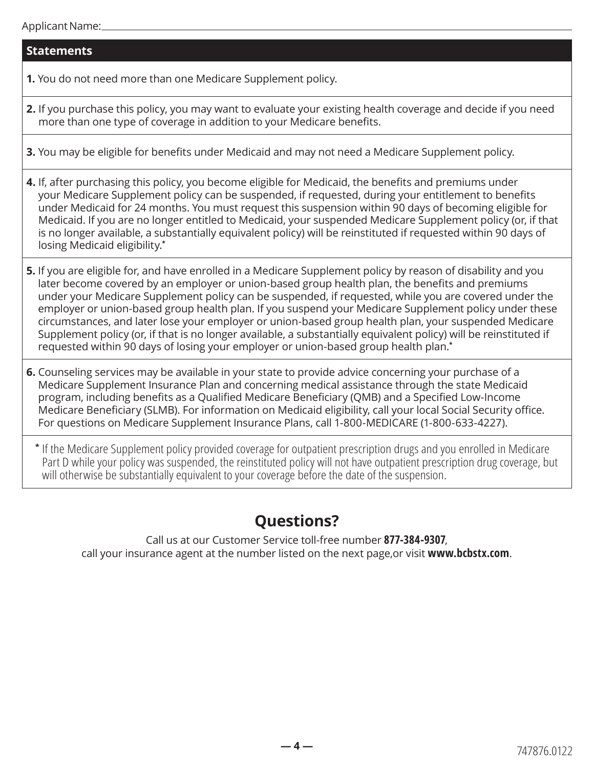### **Statements**

**1.** You do not need more than one Medicare Supplement policy.

- **2.** If you purchase this policy, you may want to evaluate your existing health coverage and decide if you need more than one type of coverage in addition to your Medicare benefits.
- **3.** You may be eligible for benefits under Medicaid and may not need a Medicare Supplement policy.
- **4.** If, after purchasing this policy, you become eligible for Medicaid, the benefits and premiums under your Medicare Supplement policy can be suspended, if requested, during your entitlement to benefits under Medicaid for 24 months. You must request this suspension within 90 days of becoming eligible for Medicaid. If you are no longer entitled to Medicaid, your suspended Medicare Supplement policy (or, if that is no longer available, a substantially equivalent policy) will be reinstituted if requested within 90 days of losing Medicaid eligibility.**\***
- **5.** If you are eligible for, and have enrolled in a Medicare Supplement policy by reason of disability and you later become covered by an employer or union-based group health plan, the benefits and premiums under your Medicare Supplement policy can be suspended, if requested, while you are covered under the employer or union-based group health plan. If you suspend your Medicare Supplement policy under these circumstances, and later lose your employer or union-based group health plan, your suspended Medicare Supplement policy (or, if that is no longer available, a substantially equivalent policy) will be reinstituted if requested within 90 days of losing your employer or union-based group health plan.**\***

**6.** Counseling services may be available in your state to provide advice concerning your purchase of a Medicare Supplement Insurance Plan and concerning medical assistance through the state Medicaid program, including benefits as a Qualified Medicare Beneficiary (QMB) and a Specified Low-Income Medicare Beneficiary (SLMB). For information on Medicaid eligibility, call your local Social Security office. For questions on Medicare Supplement Insurance Plans, call 1-800-MEDICARE (1-800-633-4227).

**\*** If the Medicare Supplement policy provided coverage for outpatient prescription drugs and you enrolled in Medicare Part D while your policy was suspended, the reinstituted policy will not have outpatient prescription drug coverage, but will otherwise be substantially equivalent to your coverage before the date of the suspension.

# **Questions?**

Call us at our Customer Service toll-free number **877-384-9307**, call your insurance agent at the number listed on the next page,or visit **[www.bcbstx.com](http://www.bcbstx.com)**.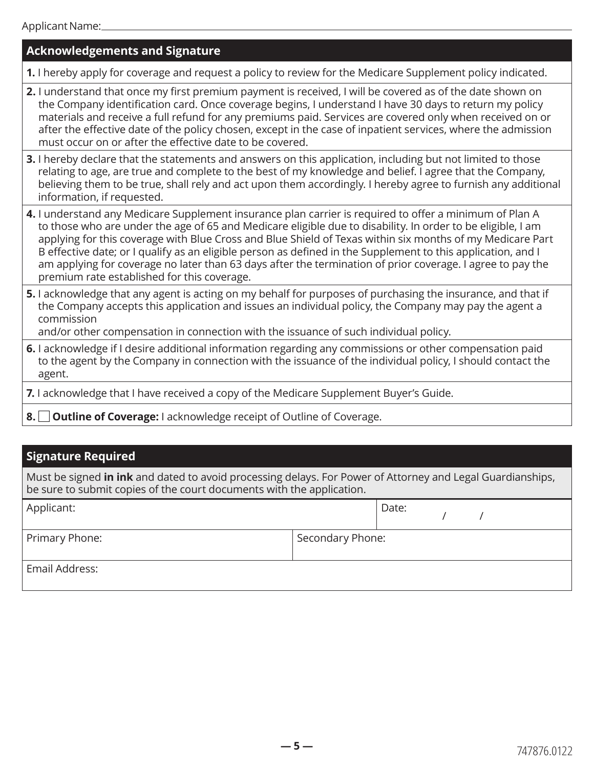| <b>Acknowledgements and Signature</b>                                                                                                                                                                                                                                                                                                                                                                                                                                                                                                                                                                            |
|------------------------------------------------------------------------------------------------------------------------------------------------------------------------------------------------------------------------------------------------------------------------------------------------------------------------------------------------------------------------------------------------------------------------------------------------------------------------------------------------------------------------------------------------------------------------------------------------------------------|
| 1. I hereby apply for coverage and request a policy to review for the Medicare Supplement policy indicated.                                                                                                                                                                                                                                                                                                                                                                                                                                                                                                      |
| 2. I understand that once my first premium payment is received, I will be covered as of the date shown on<br>the Company identification card. Once coverage begins, I understand I have 30 days to return my policy<br>materials and receive a full refund for any premiums paid. Services are covered only when received on or<br>after the effective date of the policy chosen, except in the case of inpatient services, where the admission<br>must occur on or after the effective date to be covered.                                                                                                      |
| 3. I hereby declare that the statements and answers on this application, including but not limited to those<br>relating to age, are true and complete to the best of my knowledge and belief. I agree that the Company,<br>believing them to be true, shall rely and act upon them accordingly. I hereby agree to furnish any additional<br>information, if requested.                                                                                                                                                                                                                                           |
| 4. I understand any Medicare Supplement insurance plan carrier is required to offer a minimum of Plan A<br>to those who are under the age of 65 and Medicare eligible due to disability. In order to be eligible, I am<br>applying for this coverage with Blue Cross and Blue Shield of Texas within six months of my Medicare Part<br>B effective date; or I qualify as an eligible person as defined in the Supplement to this application, and I<br>am applying for coverage no later than 63 days after the termination of prior coverage. I agree to pay the<br>premium rate established for this coverage. |
| 5. I acknowledge that any agent is acting on my behalf for purposes of purchasing the insurance, and that if<br>the Company accepts this application and issues an individual policy, the Company may pay the agent a<br>commission<br>and/or other compensation in connection with the issuance of such individual policy.                                                                                                                                                                                                                                                                                      |
| 6. I acknowledge if I desire additional information regarding any commissions or other compensation paid<br>to the agent by the Company in connection with the issuance of the individual policy, I should contact the<br>agent.                                                                                                                                                                                                                                                                                                                                                                                 |
| 7. I acknowledge that I have received a copy of the Medicare Supplement Buyer's Guide.                                                                                                                                                                                                                                                                                                                                                                                                                                                                                                                           |
|                                                                                                                                                                                                                                                                                                                                                                                                                                                                                                                                                                                                                  |

**8. □ Outline of Coverage:** I acknowledge receipt of Outline of Coverage.

# **Signature Required**

Must be signed **in ink** and dated to avoid processing delays. For Power of Attorney and Legal Guardianships, be sure to submit copies of the court documents with the application.

| Applicant:     |                  | Date: |  |
|----------------|------------------|-------|--|
| Primary Phone: | Secondary Phone: |       |  |
| Email Address: |                  |       |  |

**— 5 —**